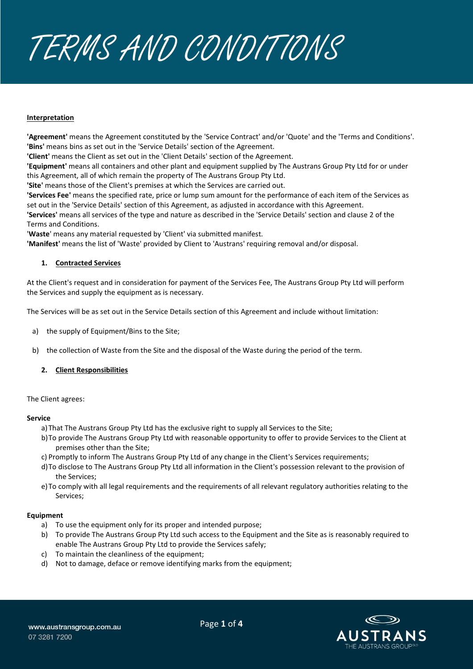

## **Interpretation**

**'Agreement'** means the Agreement constituted by the 'Service Contract' and/or 'Quote' and the 'Terms and Conditions'. **'Bins'** means bins as set out in the 'Service Details' section of the Agreement.

**'Client'** means the Client as set out in the 'Client Details' section of the Agreement.

**'Equipment'** means all containers and other plant and equipment supplied by The Austrans Group Pty Ltd for or under this Agreement, all of which remain the property of The Austrans Group Pty Ltd.

**'Site'** means those of the Client's premises at which the Services are carried out.

**'Services Fee'** means the specified rate, price or lump sum amount for the performance of each item of the Services as set out in the 'Service Details' section of this Agreement, as adjusted in accordance with this Agreement.

**'Services'** means all services of the type and nature as described in the 'Service Details' section and clause 2 of the Terms and Conditions.

'**Waste**' means any material requested by 'Client' via submitted manifest.

**'Manifest'** means the list of 'Waste' provided by Client to 'Austrans' requiring removal and/or disposal.

# **1. Contracted Services**

At the Client's request and in consideration for payment of the Services Fee, The Austrans Group Pty Ltd will perform the Services and supply the equipment as is necessary.

The Services will be as set out in the Service Details section of this Agreement and include without limitation:

- a) the supply of Equipment/Bins to the Site;
- b) the collection of Waste from the Site and the disposal of the Waste during the period of the term.

# **2. Client Responsibilities**

The Client agrees:

## **Service**

- a)That The Austrans Group Pty Ltd has the exclusive right to supply all Services to the Site;
- b)To provide The Austrans Group Pty Ltd with reasonable opportunity to offer to provide Services to the Client at premises other than the Site;
- c) Promptly to inform The Austrans Group Pty Ltd of any change in the Client's Services requirements;
- d)To disclose to The Austrans Group Pty Ltd all information in the Client's possession relevant to the provision of the Services;
- e)To comply with all legal requirements and the requirements of all relevant regulatory authorities relating to the Services;

## **Equipment**

- a) To use the equipment only for its proper and intended purpose;
- b) To provide The Austrans Group Pty Ltd such access to the Equipment and the Site as is reasonably required to enable The Austrans Group Pty Ltd to provide the Services safely;
- c) To maintain the cleanliness of the equipment;
- d) Not to damage, deface or remove identifying marks from the equipment;

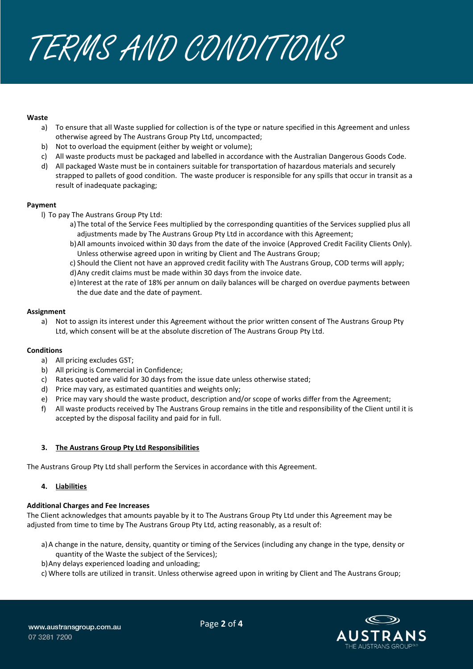TERMS AND CONDITIONS

## **Waste**

- a) To ensure that all Waste supplied for collection is of the type or nature specified in this Agreement and unless otherwise agreed by The Austrans Group Pty Ltd, uncompacted;
- b) Not to overload the equipment (either by weight or volume);
- c) All waste products must be packaged and labelled in accordance with the Australian Dangerous Goods Code.
- d) All packaged Waste must be in containers suitable for transportation of hazardous materials and securely strapped to pallets of good condition. The waste producer is responsible for any spills that occur in transit as a result of inadequate packaging;

#### **Payment**

- l) To pay The Austrans Group Pty Ltd:
	- a)The total of the Service Fees multiplied by the corresponding quantities of the Services supplied plus all adjustments made by The Austrans Group Pty Ltd in accordance with this Agreement;
	- b)All amounts invoiced within 30 days from the date of the invoice (Approved Credit Facility Clients Only). Unless otherwise agreed upon in writing by Client and The Austrans Group;
	- c) Should the Client not have an approved credit facility with The Austrans Group, COD terms will apply;
	- d)Any credit claims must be made within 30 days from the invoice date.
	- e)Interest at the rate of 18% per annum on daily balances will be charged on overdue payments between the due date and the date of payment.

#### **Assignment**

a) Not to assign its interest under this Agreement without the prior written consent of The Austrans Group Pty Ltd, which consent will be at the absolute discretion of The Austrans Group Pty Ltd.

## **Conditions**

- a) All pricing excludes GST;
- b) All pricing is Commercial in Confidence;
- c) Rates quoted are valid for 30 days from the issue date unless otherwise stated;
- d) Price may vary, as estimated quantities and weights only;
- e) Price may vary should the waste product, description and/or scope of works differ from the Agreement;
- f) All waste products received by The Austrans Group remains in the title and responsibility of the Client until it is accepted by the disposal facility and paid for in full.

## **3. The Austrans Group Pty Ltd Responsibilities**

The Austrans Group Pty Ltd shall perform the Services in accordance with this Agreement.

## **4. Liabilities**

## **Additional Charges and Fee Increases**

The Client acknowledges that amounts payable by it to The Austrans Group Pty Ltd under this Agreement may be adjusted from time to time by The Austrans Group Pty Ltd, acting reasonably, as a result of:

- a)A change in the nature, density, quantity or timing of the Services (including any change in the type, density or quantity of the Waste the subject of the Services);
- b)Any delays experienced loading and unloading;
- c) Where tolls are utilized in transit. Unless otherwise agreed upon in writing by Client and The Austrans Group;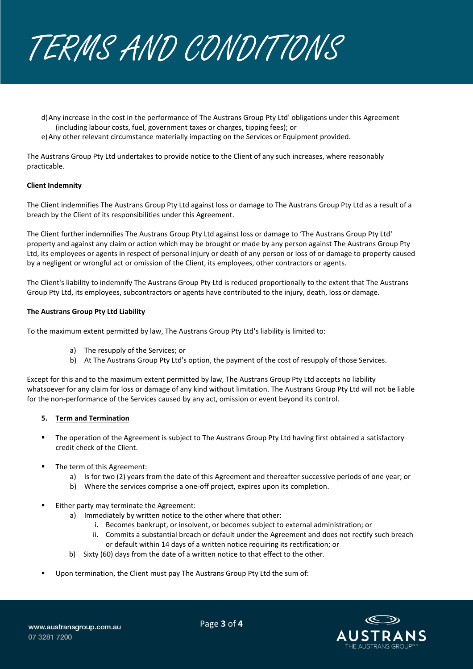

- d)Any increase in the cost in the performance of The Austrans Group Pty Ltd' obligations under this Agreement (including labour costs, fuel, government taxes or charges, tipping fees); or
- e) Any other relevant circumstance materially impacting on the Services or Equipment provided.

The Austrans Group Pty Ltd undertakes to provide notice to the Client of any such increases, where reasonably practicable.

## **Client Indemnity**

The Client indemnifies The Austrans Group Pty Ltd against loss or damage to The Austrans Group Pty Ltd as a result of a breach by the Client of its responsibilities under this Agreement.

The Client further indemnifies The Austrans Group Pty Ltd against loss or damage to 'The Austrans Group Pty Ltd' property and against any claim or action which may be brought or made by any person against The Austrans Group Pty Ltd, its employees or agents in respect of personal injury or death of any person or loss of or damage to property caused by a negligent or wrongful act or omission of the Client, its employees, other contractors or agents.

The Client's liability to indemnify The Austrans Group Pty Ltd is reduced proportionally to the extent that The Austrans Group Pty Ltd, its employees, subcontractors or agents have contributed to the injury, death, loss or damage.

#### **The Austrans Group Pty Ltd Liability**

To the maximum extent permitted by law, The Austrans Group Pty Ltd's liability is limited to:

- a) The resupply of the Services; or
- b) At The Austrans Group Pty Ltd's option, the payment of the cost of resupply of those Services.

Except for this and to the maximum extent permitted by law, The Austrans Group Pty Ltd accepts no liability whatsoever for any claim for loss or damage of any kind without limitation. The Austrans Group Pty Ltd will not be liable for the non-performance of the Services caused by any act, omission or event beyond its control.

## **5. Term and Termination**

- The operation of the Agreement is subject to The Austrans Group Pty Ltd having first obtained a satisfactory credit check of the Client.
- The term of this Agreement:
	- a) Is for two (2) years from the date of this Agreement and thereafter successive periods of one year; or
	- b) Where the services comprise a one-off project, expires upon its completion.
- Either party may terminate the Agreement:
	- a) Immediately by written notice to the other where that other:
		- i. Becomes bankrupt, or insolvent, or becomes subject to external administration; or
		- ii. Commits a substantial breach or default under the Agreement and does not rectify such breach or default within 14 days of a written notice requiring its rectification; or
	- b) Sixty (60) days from the date of a written notice to that effect to the other.
- Upon termination, the Client must pay The Austrans Group Pty Ltd the sum of: